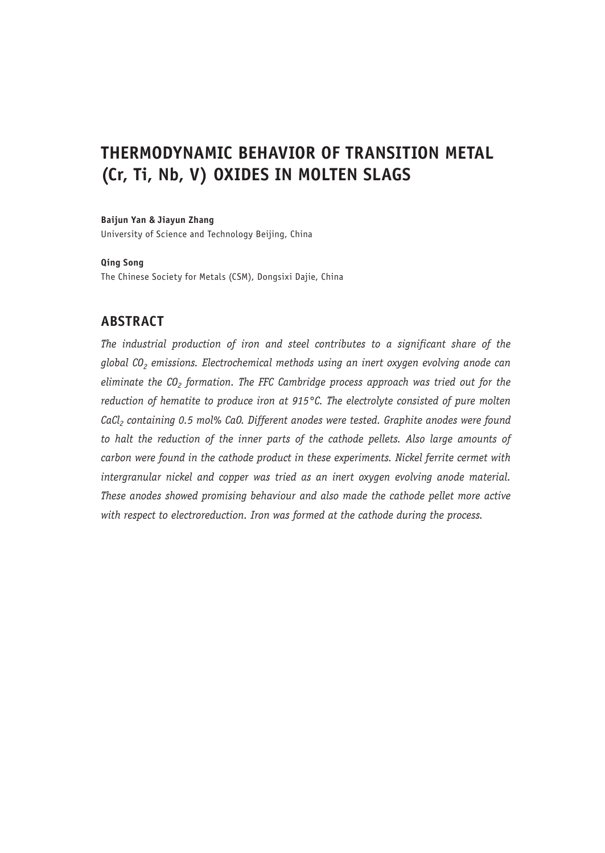# **THERMODYNAMIC BEHAVIOR OF TRANSITION METAL (Cr, Ti, Nb, V) OXIDES IN MOLTEN SLAGS**

#### **Baijun Yan & Jiayun Zhang**

University of Science and Technology Beijing, China

#### **Qing Song**

The Chinese Society for Metals (CSM), Dongsixi Dajie, China

# **ABSTRACT**

*The industrial production of iron and steel contributes to a significant share of the*  global CO<sub>2</sub> emissions. Electrochemical methods using an inert oxygen evolving anode can eliminate the CO<sub>2</sub> formation. The FFC Cambridge process approach was tried out for the *reduction of hematite to produce iron at 915°C. The electrolyte consisted of pure molten*  CaCl<sub>2</sub> containing 0.5 mol% CaO. Different anodes were tested. Graphite anodes were found *to halt the reduction of the inner parts of the cathode pellets. Also large amounts of carbon were found in the cathode product in these experiments. Nickel ferrite cermet with intergranular nickel and copper was tried as an inert oxygen evolving anode material. These anodes showed promising behaviour and also made the cathode pellet more active with respect to electroreduction. Iron was formed at the cathode during the process.*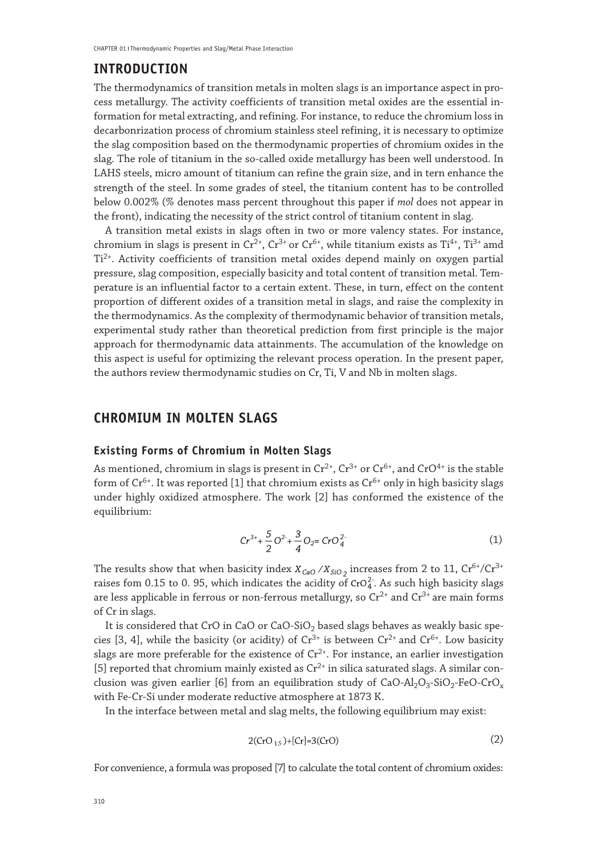# **INTRODUCTION**

The thermodynamics of transition metals in molten slags is an importance aspect in process metallurgy. The activity coefficients of transition metal oxides are the essential information for metal extracting, and refining. For instance, to reduce the chromium loss in decarbonrization process of chromium stainless steel refining, it is necessary to optimize the slag composition based on the thermodynamic properties of chromium oxides in the slag. The role of titanium in the so-called oxide metallurgy has been well understood. In LAHS steels, micro amount of titanium can refine the grain size, and in tern enhance the strength of the steel. In some grades of steel, the titanium content has to be controlled below 0.002% (*%* denotes mass percent throughout this paper if *mol* does not appear in the front), indicating the necessity of the strict control of titanium content in slag.

A transition metal exists in slags often in two or more valency states. For instance, chromium in slags is present in  $Cr^{2+}$ ,  $Cr^{3+}$  or  $Cr^{6+}$ , while titanium exists as  $Ti^{4+}$ ,  $Ti^{3+}$  amd  $Ti<sup>2+</sup>$ . Activity coefficients of transition metal oxides depend mainly on oxygen partial pressure, slag composition, especially basicity and total content of transition metal. Temperature is an influential factor to a certain extent. These, in turn, effect on the content proportion of different oxides of a transition metal in slags, and raise the complexity in the thermodynamics. As the complexity of thermodynamic behavior of transition metals, experimental study rather than theoretical prediction from first principle is the major approach for thermodynamic data attainments. The accumulation of the knowledge on this aspect is useful for optimizing the relevant process operation. In the present paper, the authors review thermodynamic studies on Cr, Ti, V and Nb in molten slags.

## **CHROMIUM IN MOLTEN SLAGS**

#### **Existing Forms of Chromium in Molten Slags**

As mentioned, chromium in slags is present in  $Cr^{2+}$ ,  $Cr^{3+}$  or  $Cr^{6+}$ , and  $CrO^{4+}$  is the stable form of  $Cr^{6+}$ . It was reported [1] that chromium exists as  $Cr^{6+}$  only in high basicity slags under highly oxidized atmosphere. The work [2] has conformed the existence of the equilibrium:

$$
Cr^{3+} + \frac{5}{2}O^{2+} + \frac{3}{4}O_2 = CrO_4^{2-}
$$
 (1)

The results show that when basicity index  $X_{CaO} / X_{SiO_2}$  increases from 2 to 11,  $Cr^{6+}/Cr^{3+}$ raises fom 0.15 to 0.95, which indicates the acidity of  $\text{CrO}_4^2$ . As such high basicity slags are less applicable in ferrous or non-ferrous metallurgy, so  $Cr^{2+}$  and  $Cr^{3+}$  are main forms of Cr in slags.

It is considered that CrO in CaO or CaO-SiO<sub>2</sub> based slags behaves as weakly basic species [3, 4], while the basicity (or acidity) of  $Cr^{3+}$  is between  $Cr^{2+}$  and  $Cr^{6+}$ . Low basicity slags are more preferable for the existence of  $Cr^{2+}$ . For instance, an earlier investigation [5] reported that chromium mainly existed as  $Cr^{2+}$  in silica saturated slags. A similar conclusion was given earlier [6] from an equilibration study of CaO-Al<sub>2</sub>O<sub>3</sub>-SiO<sub>2</sub>-FeO-CrO<sub>x</sub> with Fe-Cr-Si under moderate reductive atmosphere at 1873 K.

In the interface between metal and slag melts, the following equilibrium may exist:

$$
2(CrO_{15}) + [Cr] = 3(CrO)
$$
 (2)

For convenience, a formula was proposed [7] to calculate the total content of chromium oxides: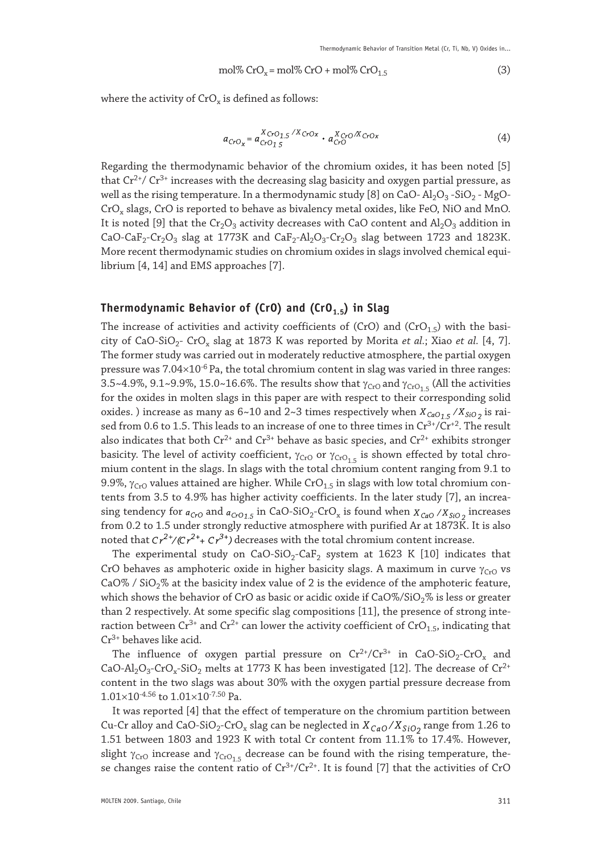$$
mol\% CrO_x = mol\% CrO + mol\% CrO_{1.5}
$$
 (3)

where the activity of  $CrO<sub>x</sub>$  is defined as follows:

$$
a_{CrO_X} = a_{CrO_15}^{X_{CrO_15}/X_{CrO_X}} \cdot a_{CrO}^{X_{CrO}/X_{CrO_X}} \tag{4}
$$

Regarding the thermodynamic behavior of the chromium oxides, it has been noted [5] that  $Cr^{2+}/Cr^{3+}$  increases with the decreasing slag basicity and oxygen partial pressure, as well as the rising temperature. In a thermodynamic study [8] on CaO-  $\text{Al}_2\text{O}_3$ -SiO<sub>2</sub> - MgO-CrO<sub>y</sub> slags, CrO is reported to behave as bivalency metal oxides, like FeO, NiO and MnO. It is noted [9] that the  $Cr_2O_3$  activity decreases with CaO content and  $Al_2O_3$  addition in CaO-CaF<sub>2</sub>-Cr<sub>2</sub>O<sub>3</sub> slag at 1773K and CaF<sub>2</sub>-Al<sub>2</sub>O<sub>3</sub>-Cr<sub>2</sub>O<sub>3</sub> slag between 1723 and 1823K. More recent thermodynamic studies on chromium oxides in slags involved chemical equilibrium [4, 14] and EMS approaches [7].

#### Thermodynamic Behavior of (CrO) and (CrO<sub>1.5</sub>) in Slag

The increase of activities and activity coefficients of (CrO) and (CrO<sub>1.5</sub>) with the basicity of CaO-SiO2- CrOx slag at 1873 K was reported by Morita *et al.*; Xiao *et al.* [4, 7]. The former study was carried out in moderately reductive atmosphere, the partial oxygen pressure was  $7.04\times10^{-6}$  Pa, the total chromium content in slag was varied in three ranges: 3.5~4.9%, 9.1~9.9%, 15.0~16.6%. The results show that  $\gamma_{\rm Cro}$  and  $\gamma_{\rm Cro_{1.5}}$  (All the activities for the oxides in molten slags in this paper are with respect to their corresponding solid oxides.) increase as many as  $6{\sim}10$  and  $2{\sim}3$  times respectively when  $X_{CaO_15}/X_{SiO_2}$  is raised from 0.6 to 1.5. This leads to an increase of one to three times in  $Cr^{3+}/Cr^{+2}$ . The result also indicates that both  $Cr^{2+}$  and  $Cr^{3+}$  behave as basic species, and  $Cr^{2+}$  exhibits stronger basicity. The level of activity coefficient,  $\gamma_{CrO}$  or  $\gamma_{CrO_1.5}$  is shown effected by total chromium content in the slags. In slags with the total chromium content ranging from 9.1 to 9.9%,  $\gamma_{\rm Cro}$  values attained are higher. While CrO<sub>1.5</sub> in slags with low total chromium contents from 3.5 to 4.9% has higher activity coefficients. In the later study [7], an increasing tendency for  $a_{CrO}$  and  $a_{CrO15}$  in CaO-SiO<sub>2</sub>-CrO<sub>x</sub> is found when  $X_{CqO}$  / $X_{SiO2}$  increases from 0.2 to 1.5 under strongly reductive atmosphere with purified Ar at 1873K. It is also noted that  $Cr^{2+}/(Cr^{2+}+Cr^{3+})$  decreases with the total chromium content increase.

The experimental study on  $CaO-SiO<sub>2</sub>-CaF<sub>2</sub>$  system at 1623 K [10] indicates that CrO behaves as amphoteric oxide in higher basicity slags. A maximum in curve  $\gamma_{\rm Cro}$  vs CaO% / SiO<sub>2</sub>% at the basicity index value of 2 is the evidence of the amphoteric feature, which shows the behavior of CrO as basic or acidic oxide if  $CaO\% / SiO<sub>2</sub>%$  is less or greater than 2 respectively. At some specific slag compositions [11], the presence of strong interaction between  $Cr^{3+}$  and  $Cr^{2+}$  can lower the activity coefficient of  $CrO_{1.5}$ , indicating that Cr3+ behaves like acid.

The influence of oxygen partial pressure on  $Cr^{2+}/Cr^{3+}$  in CaO-SiO<sub>2</sub>-CrO<sub>x</sub> and CaO-Al<sub>2</sub>O<sub>3</sub>-CrO<sub>x</sub>-SiO<sub>2</sub> melts at 1773 K has been investigated [12]. The decrease of Cr<sup>2+</sup> content in the two slags was about 30% with the oxygen partial pressure decrease from  $1.01\times10^{-4.56}$  to  $1.01\times10^{-7.50}$  Pa.

It was reported [4] that the effect of temperature on the chromium partition between Cu-Cr alloy and CaO-SiO<sub>2</sub>-CrO<sub>x</sub> slag can be neglected in  $X_{CaO}/X_{SiO_2}$  range from 1.26 to 1.51 between 1803 and 1923 K with total Cr content from 11.1% to 17.4%. However, slight  $\gamma_{\rm Cro}$  increase and  $\gamma_{\rm Cro_{1.5}}$  decrease can be found with the rising temperature, these changes raise the content ratio of  $Cr^{3+}/Cr^{2+}$ . It is found [7] that the activities of CrO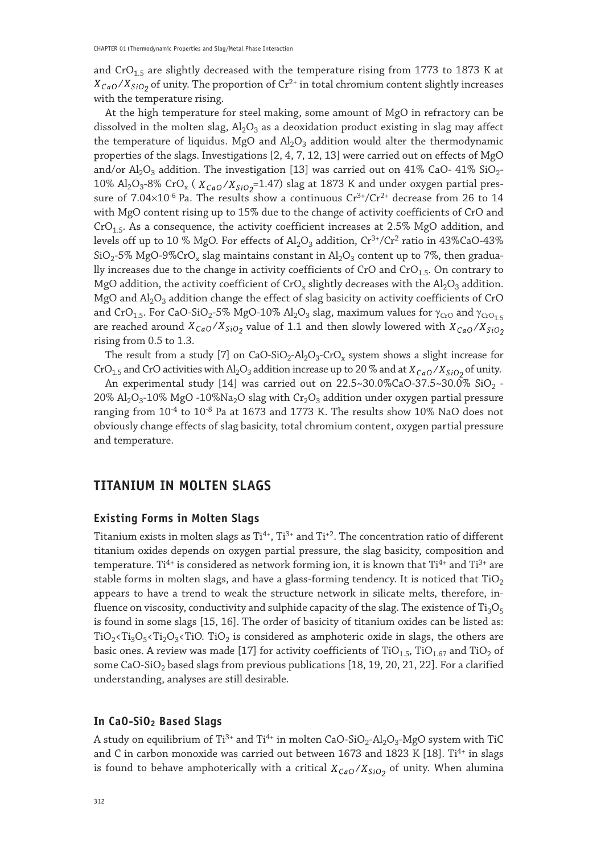and  $CrO<sub>1.5</sub>$  are slightly decreased with the temperature rising from 1773 to 1873 K at  $X_{CaO}/X_{SiO2}$  of unity. The proportion of Cr<sup>2+</sup> in total chromium content slightly increases with the temperature rising.

At the high temperature for steel making, some amount of MgO in refractory can be dissolved in the molten slag,  $Al_2O_3$  as a deoxidation product existing in slag may affect the temperature of liquidus. MgO and  $\text{Al}_2\text{O}_3$  addition would alter the thermodynamic properties of the slags. Investigations [2, 4, 7, 12, 13] were carried out on effects of MgO and/or  $\text{Al}_2\text{O}_3$  addition. The investigation [13] was carried out on 41% CaO- 41% SiO<sub>2</sub>-10%  $\rm Al_2O_3$ -8% CrO<sub>x</sub> ( $\rm X_{CaO}/X_{SiO_2}$ =1.47) slag at 1873 K and under oxygen partial pressure of  $7.04\times10^{-6}$  Pa. The results show a continuous  $Cr^{3+}/Cr^{2+}$  decrease from 26 to 14 with MgO content rising up to 15% due to the change of activity coefficients of CrO and  $CrO<sub>1.5</sub>$ . As a consequence, the activity coefficient increases at 2.5% MgO addition, and levels off up to 10 % MgO. For effects of  $\text{Al}_2\text{O}_3$  addition,  $\text{Cr}^{3+}/\text{Cr}^2$  ratio in 43%CaO-43%  $SiO_2$ -5% MgO-9%CrO<sub>x</sub> slag maintains constant in  $Al_2O_3$  content up to 7%, then gradually increases due to the change in activity coefficients of CrO and CrO $_{1.5}$ . On contrary to MgO addition, the activity coefficient of CrO<sub>x</sub> slightly decreases with the  $Al_2O_3$  addition. MgO and  $\text{Al}_2\text{O}_3$  addition change the effect of slag basicity on activity coefficients of CrO and CrO<sub>1.5</sub>. For CaO-SiO<sub>2</sub>-5% MgO-10% Al<sub>2</sub>O<sub>3</sub> slag, maximum values for  $\gamma_{CrO}$  and  $\gamma_{CrO_1,5}$ are reached around  $X_{CaO}/X_{SiO_2}$  value of 1.1 and then slowly lowered with  $X_{CaO}/X_{SiO_2}$ rising from 0.5 to 1.3.

The result from a study [7] on  $CaO-SiO<sub>2</sub>-Al<sub>2</sub>O<sub>3</sub>-CrO<sub>x</sub>$  system shows a slight increase for CrO<sub>1.5</sub> and CrO activities with Al<sub>2</sub>O<sub>3</sub> addition increase up to 20 % and at  $X_{CaO}/X_{SiO_2}$  of unity.

An experimental study [14] was carried out on  $22.5 \times 30.0\%$  CaO-37.5 $\times 30.0\%$  SiO<sub>2</sub> -20%  $\text{Al}_2\text{O}_3$ -10% MgO -10%Na<sub>2</sub>O slag with Cr<sub>2</sub>O<sub>3</sub> addition under oxygen partial pressure ranging from  $10^{-4}$  to  $10^{-8}$  Pa at 1673 and 1773 K. The results show 10% NaO does not obviously change effects of slag basicity, total chromium content, oxygen partial pressure and temperature.

# **TITANIUM IN MOLTEN SLAGS**

#### **Existing Forms in Molten Slags**

Titanium exists in molten slags as  $Ti^{4+}$ ,  $Ti^{3+}$  and  $Ti^{+2}$ . The concentration ratio of different titanium oxides depends on oxygen partial pressure, the slag basicity, composition and temperature. Ti<sup>4+</sup> is considered as network forming ion, it is known that Ti<sup>4+</sup> and Ti<sup>3+</sup> are stable forms in molten slags, and have a glass-forming tendency. It is noticed that  $TiO<sub>2</sub>$ appears to have a trend to weak the structure network in silicate melts, therefore, influence on viscosity, conductivity and sulphide capacity of the slag. The existence of  $Ti<sub>3</sub>O<sub>5</sub>$ is found in some slags [15, 16]. The order of basicity of titanium oxides can be listed as:  $TiO_2$ < $Ti_2O_3$ < $TiO_3$  TiO<sub>2</sub> is considered as amphoteric oxide in slags, the others are basic ones. A review was made [17] for activity coefficients of  $TiO<sub>1.5</sub>$ ,  $TiO<sub>1.67</sub>$  and  $TiO<sub>2</sub>$  of some CaO-SiO<sub>2</sub> based slags from previous publications [18, 19, 20, 21, 22]. For a clarified understanding, analyses are still desirable.

## **In CaO-SiO2 Based Slags**

A study on equilibrium of Ti<sup>3+</sup> and Ti<sup>4+</sup> in molten CaO-SiO<sub>2</sub>-Al<sub>2</sub>O<sub>3</sub>-MgO system with TiC and C in carbon monoxide was carried out between 1673 and 1823 K [18]. Ti<sup>4+</sup> in slags is found to behave amphoterically with a critical  $X_{CaO}/X_{SiO_2}$  of unity. When alumina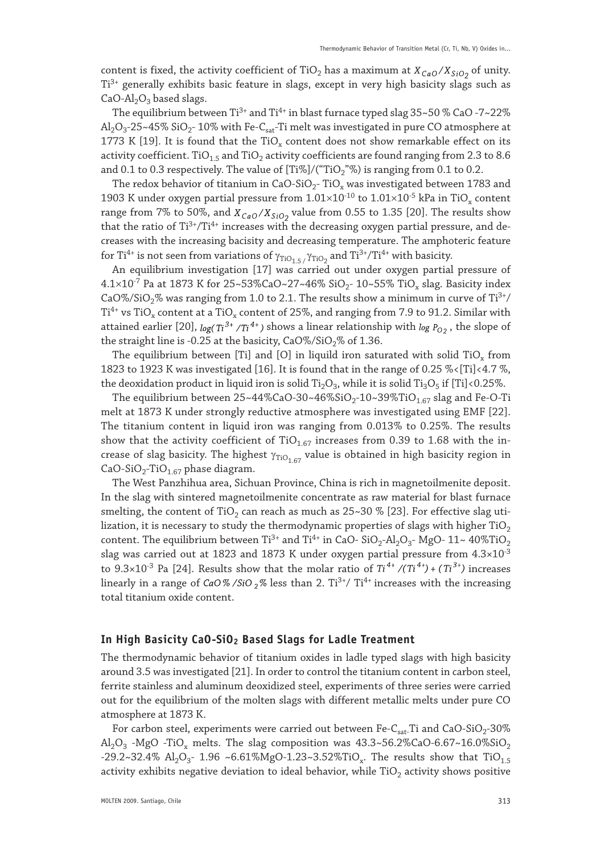content is fixed, the activity coefficient of TiO<sub>2</sub> has a maximum at  $X_{CaO}/X_{SiO2}$  of unity. Ti3+ generally exhibits basic feature in slags, except in very high basicity slags such as  $CaO-Al<sub>2</sub>O<sub>3</sub>$  based slags.

The equilibrium between Ti<sup>3+</sup> and Ti<sup>4+</sup> in blast furnace typed slag  $35~50~\%$  CaO -7~22%  $\text{Al}_2\text{O}_3$ -25~45% SiO<sub>2</sub>-10% with Fe-C<sub>sat</sub>-Ti melt was investigated in pure CO atmosphere at 1773 K [19]. It is found that the TiO<sub>x</sub> content does not show remarkable effect on its activity coefficient. TiO<sub>1.5</sub> and TiO<sub>2</sub> activity coefficients are found ranging from 2.3 to 8.6 and 0.1 to 0.3 respectively. The value of  $[Ti%]/(TiO<sub>2</sub>)$  is ranging from 0.1 to 0.2.

The redox behavior of titanium in CaO-SiO<sub>2</sub>-TiO<sub>x</sub> was investigated between 1783 and 1903 K under oxygen partial pressure from  $1.01 \times 10^{10}$  to  $1.01 \times 10^{15}$  kPa in TiO<sub>x</sub> content range from 7% to 50%, and  $X_{CaO}/X_{SiO_2}$  value from 0.55 to 1.35 [20]. The results show that the ratio of Ti<sup>3+</sup>/Ti<sup>4+</sup> increases with the decreasing oxygen partial pressure, and decreases with the increasing bacisity and decreasing temperature. The amphoteric feature for Ti<sup>4+</sup> is not seen from variations of  $\gamma_{\rm TiO_{1.5}}/\gamma_{\rm TiO_2}$  and Ti<sup>3+</sup>/Ti<sup>4+</sup> with basicity.

An equilibrium investigation [17] was carried out under oxygen partial pressure of 4.1×10<sup>-7</sup> Pa at 1873 K for 25~53%CaO~27~46% SiO<sub>2</sub>- 10~55% TiO<sub>x</sub> slag. Basicity index CaO%/SiO<sub>2</sub>% was ranging from 1.0 to 2.1. The results show a minimum in curve of Ti<sup>3+</sup>/  $Ti<sup>4+</sup>$  vs TiO<sub>x</sub> content at a TiO<sub>x</sub> content of 25%, and ranging from 7.9 to 91.2. Similar with attained earlier [20],  $log(Ti^{3+}/Ti^{4+})$  shows a linear relationship with  $log P_{O2}$ , the slope of the straight line is -0.25 at the basicity,  $CaO\%/SiO<sub>2</sub>%$  of 1.36.

The equilibrium between [Ti] and [O] in liquild iron saturated with solid  $TiO_x$  from 1823 to 1923 K was investigated [16]. It is found that in the range of 0.25 %<[Ti]<4.7 %, the deoxidation product in liquid iron is solid Ti<sub>2</sub>O<sub>3</sub>, while it is solid Ti<sub>3</sub>O<sub>5</sub> if [Ti]<0.25%.

The equilibrium between  $25 \times 44\%$ CaO-30 $\sim 46\%$ SiO<sub>2</sub>-10 $\sim$ 39%TiO<sub>1.67</sub> slag and Fe-O-Ti melt at 1873 K under strongly reductive atmosphere was investigated using EMF [22]. The titanium content in liquid iron was ranging from 0.013% to 0.25%. The results show that the activity coefficient of TiO<sub>1.67</sub> increases from 0.39 to 1.68 with the increase of slag basicity. The highest  $\gamma_{\text{TiO}_1,67}$  value is obtained in high basicity region in CaO-SiO<sub>2</sub>-TiO<sub>1.67</sub> phase diagram.

The West Panzhihua area, Sichuan Province, China is rich in magnetoilmenite deposit. In the slag with sintered magnetoilmenite concentrate as raw material for blast furnace smelting, the content of TiO<sub>2</sub> can reach as much as  $25~30~\%$  [23]. For effective slag utilization, it is necessary to study the thermodynamic properties of slags with higher  $TiO<sub>2</sub>$ content. The equilibrium between  $Ti^{3+}$  and  $Ti^{4+}$  in CaO-  $SiO_2$ -Al<sub>2</sub>O<sub>3</sub>- MgO-  $11 \sim 40\% TiO_2$ slag was carried out at 1823 and 1873 K under oxygen partial pressure from  $4.3\times10^{3}$ to 9.3×10<sup>-3</sup> Pa [24]. Results show that the molar ratio of  $Ti^{4+}/(Ti^{4+}) + (Ti^{3+})$  increases linearly in a range of CaO%/SiO  $_2$ % less than 2. Ti<sup>3+</sup>/ Ti<sup>4+</sup> increases with the increasing total titanium oxide content.

## **In High Basicity CaO-SiO2 Based Slags for Ladle Treatment**

The thermodynamic behavior of titanium oxides in ladle typed slags with high basicity around 3.5 was investigated [21]. In order to control the titanium content in carbon steel, ferrite stainless and aluminum deoxidized steel, experiments of three series were carried out for the equilibrium of the molten slags with different metallic melts under pure CO atmosphere at 1873 K.

For carbon steel, experiments were carried out between Fe- $C_{\text{sat}}$ Ti and CaO-SiO<sub>2</sub>-30% Al<sub>2</sub>O<sub>3</sub> -MgO -TiO<sub>x</sub> melts. The slag composition was  $43.3 \times 56.2\%$ CaO-6.67 $\sim$ 16.0%SiO<sub>2</sub> -29.2~32.4% Al<sub>2</sub>O<sub>3</sub>- 1.96 ~6.61%MgO-1.23~3.52%TiO<sub>x</sub>. The results show that TiO<sub>1.5</sub> activity exhibits negative deviation to ideal behavior, while  $TiO<sub>2</sub>$  activity shows positive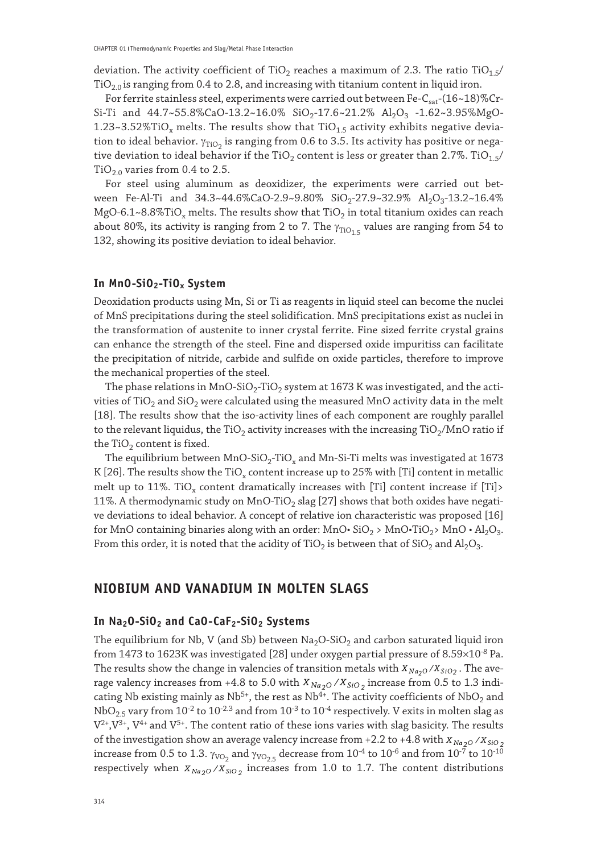deviation. The activity coefficient of TiO<sub>2</sub> reaches a maximum of 2.3. The ratio TiO<sub>1.5</sub>/  $TiO<sub>2.0</sub>$  is ranging from 0.4 to 2.8, and increasing with titanium content in liquid iron.

For ferrite stainless steel, experiments were carried out between Fe- $C_{\text{sat}}$ -(16~18)%Cr-Si-Ti and  $44.7 \sim 55.8\%$ CaO-13.2~16.0% SiO<sub>2</sub>-17.6~21.2% Al<sub>2</sub>O<sub>3</sub> -1.62~3.95%MgO-1.23~3.52%TiO<sub>x</sub> melts. The results show that  $TiO<sub>1.5</sub>$  activity exhibits negative deviation to ideal behavior.  $\gamma_{\rm TiO_2}$  is ranging from 0.6 to 3.5. Its activity has positive or negative deviation to ideal behavior if the TiO<sub>2</sub> content is less or greater than 2.7%. TiO<sub>1.5</sub>/  $TiO<sub>2.0</sub>$  varies from 0.4 to 2.5.

For steel using aluminum as deoxidizer, the experiments were carried out between Fe-Al-Ti and  $34.3 \times 44.6\%$ CaO-2.9 $\sim 9.80\%$  SiO<sub>2</sub>-27.9 $\sim 32.9\%$  Al<sub>2</sub>O<sub>3</sub>-13.2 $\sim 16.4\%$ MgO-6.1~8.8%TiO<sub>x</sub> melts. The results show that TiO<sub>2</sub> in total titanium oxides can reach about 80%, its activity is ranging from 2 to 7. The  $\gamma_{\text{TiO}_1,5}$  values are ranging from 54 to 132, showing its positive deviation to ideal behavior.

#### **In MnO-SiO2-TiOx System**

Deoxidation products using Mn, Si or Ti as reagents in liquid steel can become the nuclei of MnS precipitations during the steel solidification. MnS precipitations exist as nuclei in the transformation of austenite to inner crystal ferrite. Fine sized ferrite crystal grains can enhance the strength of the steel. Fine and dispersed oxide impuritiss can facilitate the precipitation of nitride, carbide and sulfide on oxide particles, therefore to improve the mechanical properties of the steel.

The phase relations in MnO-SiO<sub>2</sub>-TiO<sub>2</sub> system at 1673 K was investigated, and the activities of TiO<sub>2</sub> and SiO<sub>2</sub> were calculated using the measured MnO activity data in the melt [18]. The results show that the iso-activity lines of each component are roughly parallel to the relevant liquidus, the TiO<sub>2</sub> activity increases with the increasing TiO<sub>2</sub>/MnO ratio if the  $TiO<sub>2</sub>$  content is fixed.

The equilibrium between  $MnO-SiO<sub>2</sub>-TiO<sub>x</sub>$  and  $Mn-Si-Ti$  melts was investigated at 1673 K [26]. The results show the TiO<sub>x</sub> content increase up to  $25\%$  with [Ti] content in metallic melt up to 11%. TiO<sub>x</sub> content dramatically increases with [Ti] content increase if [Ti]> 11%. A thermodynamic study on MnO-TiO<sub>2</sub> slag [27] shows that both oxides have negative deviations to ideal behavior. A concept of relative ion characteristic was proposed [16] for MnO containing binaries along with an order: MnO• SiO<sub>2</sub> > MnO•TiO<sub>2</sub> > MnO• Al<sub>2</sub>O<sub>3</sub>. From this order, it is noted that the acidity of TiO<sub>2</sub> is between that of SiO<sub>2</sub> and Al<sub>2</sub>O<sub>3</sub>.

## **NIOBIUM AND VANADIUM IN MOLTEN SLAGS**

## **In Na2O-SiO2 and CaO-CaF2-SiO2 Systems**

The equilibrium for Nb, V (and Sb) between  $Na<sub>2</sub>O-SiO<sub>2</sub>$  and carbon saturated liquid iron from 1473 to 1623K was investigated [28] under oxygen partial pressure of  $8.59\times10^{-8}$  Pa. The results show the change in valencies of transition metals with  $X_{Na_2O}/X_{SiO_2}$ . The average valency increases from +4.8 to 5.0 with  $X_{Na_2O} / X_{SiO_2}$  increase from 0.5 to 1.3 indicating Nb existing mainly as Nb<sup>5+</sup>, the rest as Nb<sup>4+</sup>. The activity coefficients of NbO<sub>2</sub> and  $NbO<sub>2.5</sub>$  vary from  $10^{-2}$  to  $10^{-2.3}$  and from  $10^{-3}$  to  $10^{-4}$  respectively. V exits in molten slag as  $V^{2+}$ ,  $V^{3+}$ ,  $V^{4+}$  and  $V^{5+}$ . The content ratio of these ions varies with slag basicity. The results of the investigation show an average valency increase from +2.2 to +4.8 with  $X_{Na_2O}$  / $X_{SiO_2}$ increase from 0.5 to 1.3.  $\gamma_{\rm VO_2}$  and  $\gamma_{\rm VO_{2.5}}$  decrease from  $10^{\text{-}4}$  to  $10^{\text{-}6}$  and from  $10^{\text{-}7}$  to  $10^{\text{-}10}$ respectively when  $X_{Na_2O}$  / $X_{SiO_2}$  increases from 1.0 to 1.7. The content distributions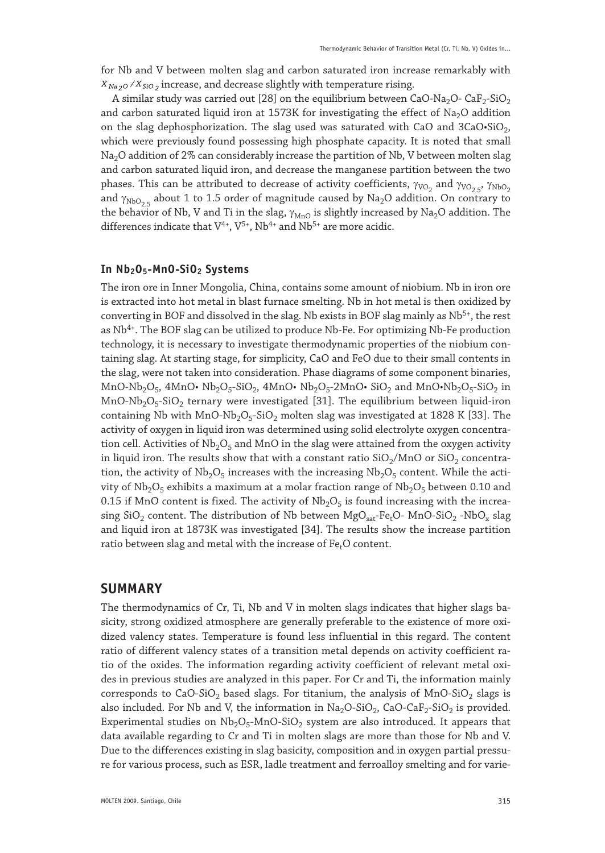for Nb and V between molten slag and carbon saturated iron increase remarkably with  $X_{Na_2O}$  / $X_{SiO_2}$  increase, and decrease slightly with temperature rising.

A similar study was carried out [28] on the equilibrium between CaO-Na<sub>2</sub>O- CaF<sub>2</sub>-SiO<sub>2</sub> and carbon saturated liquid iron at 1573K for investigating the effect of  $Na<sub>2</sub>O$  addition on the slag dephosphorization. The slag used was saturated with CaO and 3CaO·SiO<sub>2</sub>, which were previously found possessing high phosphate capacity. It is noted that small Na<sub>2</sub>O addition of 2% can considerably increase the partition of Nb, V between molten slag and carbon saturated liquid iron, and decrease the manganese partition between the two phases. This can be attributed to decrease of activity coefficients,  $γ_{VO_2}$  and  $γ_{VO_2.5}$ ,  $γ_{NbO_2}$ and  $\gamma_{\text{NbO}_2}$  about 1 to 1.5 order of magnitude caused by Na<sub>2</sub>O addition. On contrary to the behavior of Nb, V and Ti in the slag,  $\gamma_{MnO}$  is slightly increased by Na<sub>2</sub>O addition. The differences indicate that  $\mathrm{V}^{4+}, \mathrm{V}^{5+}, \mathrm{Nb}^{4+}$  and  $\mathrm{Nb}^{5+}$  are more acidic.

#### **In Nb2O5-MnO-SiO2 Systems**

The iron ore in Inner Mongolia, China, contains some amount of niobium. Nb in iron ore is extracted into hot metal in blast furnace smelting. Nb in hot metal is then oxidized by converting in BOF and dissolved in the slag. Nb exists in BOF slag mainly as  $Nb<sup>5+</sup>$ , the rest as Nb<sup>4+</sup>. The BOF slag can be utilized to produce Nb-Fe. For optimizing Nb-Fe production technology, it is necessary to investigate thermodynamic properties of the niobium containing slag. At starting stage, for simplicity, CaO and FeO due to their small contents in the slag, were not taken into consideration. Phase diagrams of some component binaries, MnO-Nb<sub>2</sub>O<sub>5</sub>, 4MnO• Nb<sub>2</sub>O<sub>5</sub>-SiO<sub>2</sub>, 4MnO• Nb<sub>2</sub>O<sub>5</sub>-2MnO• SiO<sub>2</sub> and MnO•Nb<sub>2</sub>O<sub>5</sub>-SiO<sub>2</sub> in  $MnO-Nb<sub>2</sub>O<sub>5</sub>-SiO<sub>2</sub>$  ternary were investigated [31]. The equilibrium between liquid-iron containing Nb with  $MnO-Nb<sub>2</sub>O<sub>5</sub>-SiO<sub>2</sub>$  molten slag was investigated at 1828 K [33]. The activity of oxygen in liquid iron was determined using solid electrolyte oxygen concentration cell. Activities of  $Nb<sub>2</sub>O<sub>5</sub>$  and MnO in the slag were attained from the oxygen activity in liquid iron. The results show that with a constant ratio  $SiO<sub>2</sub>/MnO$  or  $SiO<sub>2</sub>$  concentration, the activity of  $Nb<sub>2</sub>O<sub>5</sub>$  increases with the increasing  $Nb<sub>2</sub>O<sub>5</sub>$  content. While the activity of  $Nb_2O_5$  exhibits a maximum at a molar fraction range of  $Nb_2O_5$  between 0.10 and 0.15 if MnO content is fixed. The activity of  $Nb<sub>2</sub>O<sub>5</sub>$  is found increasing with the increasing  $SiO<sub>2</sub>$  content. The distribution of Nb between  $MgO<sub>sat</sub>Fe<sub>t</sub>O- MnO-SiO<sub>2</sub> -NbO<sub>x</sub>$  slag and liquid iron at 1873K was investigated [34]. The results show the increase partition ratio between slag and metal with the increase of Fe<sub>t</sub>O content.

## **SUMMARY**

The thermodynamics of Cr, Ti, Nb and V in molten slags indicates that higher slags basicity, strong oxidized atmosphere are generally preferable to the existence of more oxidized valency states. Temperature is found less influential in this regard. The content ratio of different valency states of a transition metal depends on activity coefficient ratio of the oxides. The information regarding activity coefficient of relevant metal oxides in previous studies are analyzed in this paper. For Cr and Ti, the information mainly corresponds to CaO-SiO<sub>2</sub> based slags. For titanium, the analysis of MnO-SiO<sub>2</sub> slags is also included. For Nb and V, the information in  $\text{Na}_2\text{O-SiO}_2$ , CaO-CaF<sub>2</sub>-SiO<sub>2</sub> is provided. Experimental studies on  $Nb_2O_5-MnO-SiO_2$  system are also introduced. It appears that data available regarding to Cr and Ti in molten slags are more than those for Nb and V. Due to the differences existing in slag basicity, composition and in oxygen partial pressure for various process, such as ESR, ladle treatment and ferroalloy smelting and for varie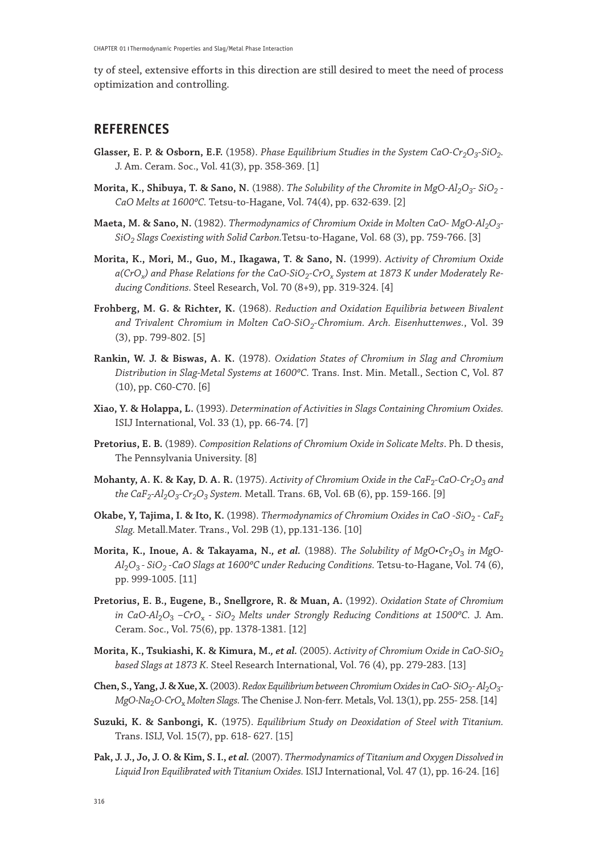ty of steel, extensive efforts in this direction are still desired to meet the need of process optimization and controlling.

# **REFERENCES**

- **Glasser, E. P. & Osborn, E.F.** (1958). *Phase Equilibrium Studies in the System CaO-Cr<sub>2</sub>O<sub>3</sub>-SiO<sub>2</sub>.* J. Am. Ceram. Soc., Vol. 41(3), pp. 358-369. [1]
- **Morita, K., Shibuya, T. & Sano, N.** (1988). *The Solubility of the Chromite in MgO-Al<sub>2</sub>O<sub>3</sub>-SiO<sub>2</sub> -*CaO Melts at 1600°C. Tetsu-to-Hagane, Vol. 74(4), pp. 632-639. [2]
- **Maeta, M. & Sano, N.** (1982). *Thermodynamics of Chromium Oxide in Molten CaO- MgO-Al<sub>2</sub>O<sub>3</sub>-SiO2 Slags Coexisting with Solid Carbon.*Tetsu-to-Hagane, Vol. 68 (3), pp. 759-766. [3]
- **Morita, K., Mori, M., Guo, M., Ikagawa, T. & Sano, N.** (1999). *Activity of Chromium Oxide*  a(CrO<sub>x</sub>) and Phase Relations for the CaO-SiO<sub>2</sub>-CrO<sub>x</sub> System at 1873 K under Moderately Re*ducing Conditions.* Steel Research, Vol. 70 (8+9), pp. 319-324. [4]
- **Frohberg, M. G. & Richter, K.** (1968). *Reduction and Oxidation Equilibria between Bivalent*  and Trivalent Chromium in Molten CaO-SiO<sub>2</sub>-Chromium. Arch. Eisenhuttenwes., Vol. 39 (3), pp. 799-802. [5]
- **Rankin, W. J. & Biswas, A. K.** (1978). *Oxidation States of Chromium in Slag and Chromium*  Distribution in Slag-Metal Systems at 1600°C. Trans. Inst. Min. Metall., Section C, Vol. 87 (10), pp. C60-C70. [6]
- **Xiao, Y. & Holappa, L.** (1993). *Determination of Activities in Slags Containing Chromium Oxides.* ISIJ International, Vol. 33 (1), pp. 66-74. [7]
- **Pretorius, E. B.** (1989). *Composition Relations of Chromium Oxide in Solicate Melts*. Ph. D thesis, The Pennsylvania University. [8]
- **Mohanty, A. K. & Kay, D. A. R.** (1975). Activity of Chromium Oxide in the CaF<sub>2</sub>-CaO-Cr<sub>2</sub>O<sub>3</sub> and *the CaF2-Al2O3-Cr2O3 System.* Metall. Trans. 6B, Vol. 6B (6), pp. 159-166. [9]
- **Okabe, Y, Tajima, I. & Ito, K.** (1998). *Thermodynamics of Chromium Oxides in CaO -SiO<sub>2</sub> CaF<sub>2</sub> Slag.* Metall.Mater. Trans., Vol. 29B (1), pp.131-136. [10]
- Morita, K., Inoue, A. & Takayama, N., et al. (1988). *The Solubility of MgO•Cr*<sub>2</sub>O<sub>3</sub> in MgO-Al<sub>2</sub>O<sub>3</sub> - SiO<sub>2</sub> - CaO Slags at 1600°C under Reducing Conditions. Tetsu-to-Hagane, Vol. 74 (6), pp. 999-1005. [11]
- **Pretorius, E. B., Eugene, B., Snellgrore, R. & Muan, A.** (1992). *Oxidation State of Chromium in CaO-Al*<sub>2</sub>O<sub>3</sub> –CrO<sub>x</sub> - SiO<sub>2</sub> Melts under Strongly Reducing Conditions at 1500°C. J. Am. Ceram. Soc., Vol. 75(6), pp. 1378-1381. [12]
- **Morita, K., Tsukiashi, K. & Kimura, M.***, et al.* (2005). *Activity of Chromium Oxide in CaO-SiO*<sup>2</sup> *based Slags at 1873 K.* Steel Research International, Vol. 76 (4), pp. 279-283. [13]
- **Chen, S., Yang, J. & Xue, X.** (2003). *Redox Equilibrium between Chromium Oxides in CaO- SiO<sub>2</sub>- Al<sub>2</sub>O<sub>3</sub>-MgO-Na*2*O-CrO*x *Molten Slags.* The Chenise J. Non-ferr. Metals, Vol. 13(1), pp. 255- 258. [14]
- **Suzuki, K. & Sanbongi, K.** (1975). *Equilibrium Study on Deoxidation of Steel with Titanium.* Trans. ISIJ, Vol. 15(7), pp. 618- 627. [15]
- **Pak, J. J., Jo, J. O. & Kim, S. I.,** *et al.* (2007). *Thermodynamics of Titanium and Oxygen Dissolved in Liquid Iron Equilibrated with Titanium Oxides.* ISIJ International, Vol. 47 (1), pp. 16-24. [16]